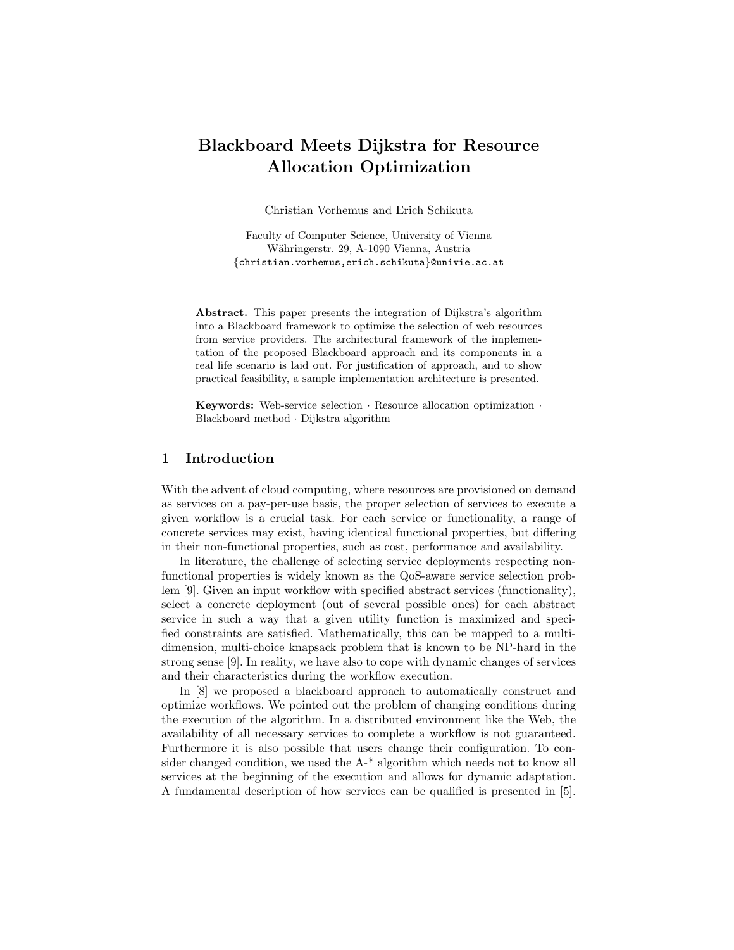# Blackboard Meets Dijkstra for Resource Allocation Optimization

Christian Vorhemus and Erich Schikuta

Faculty of Computer Science, University of Vienna Währingerstr. 29, A-1090 Vienna, Austria {christian.vorhemus,erich.schikuta}@univie.ac.at

Abstract. This paper presents the integration of Dijkstra's algorithm into a Blackboard framework to optimize the selection of web resources from service providers. The architectural framework of the implementation of the proposed Blackboard approach and its components in a real life scenario is laid out. For justification of approach, and to show practical feasibility, a sample implementation architecture is presented.

Keywords: Web-service selection · Resource allocation optimization · Blackboard method · Dijkstra algorithm

## 1 Introduction

With the advent of cloud computing, where resources are provisioned on demand as services on a pay-per-use basis, the proper selection of services to execute a given workflow is a crucial task. For each service or functionality, a range of concrete services may exist, having identical functional properties, but differing in their non-functional properties, such as cost, performance and availability.

In literature, the challenge of selecting service deployments respecting nonfunctional properties is widely known as the QoS-aware service selection problem [9]. Given an input workflow with specified abstract services (functionality), select a concrete deployment (out of several possible ones) for each abstract service in such a way that a given utility function is maximized and specified constraints are satisfied. Mathematically, this can be mapped to a multidimension, multi-choice knapsack problem that is known to be NP-hard in the strong sense [9]. In reality, we have also to cope with dynamic changes of services and their characteristics during the workflow execution.

In [8] we proposed a blackboard approach to automatically construct and optimize workflows. We pointed out the problem of changing conditions during the execution of the algorithm. In a distributed environment like the Web, the availability of all necessary services to complete a workflow is not guaranteed. Furthermore it is also possible that users change their configuration. To consider changed condition, we used the A-\* algorithm which needs not to know all services at the beginning of the execution and allows for dynamic adaptation. A fundamental description of how services can be qualified is presented in [5].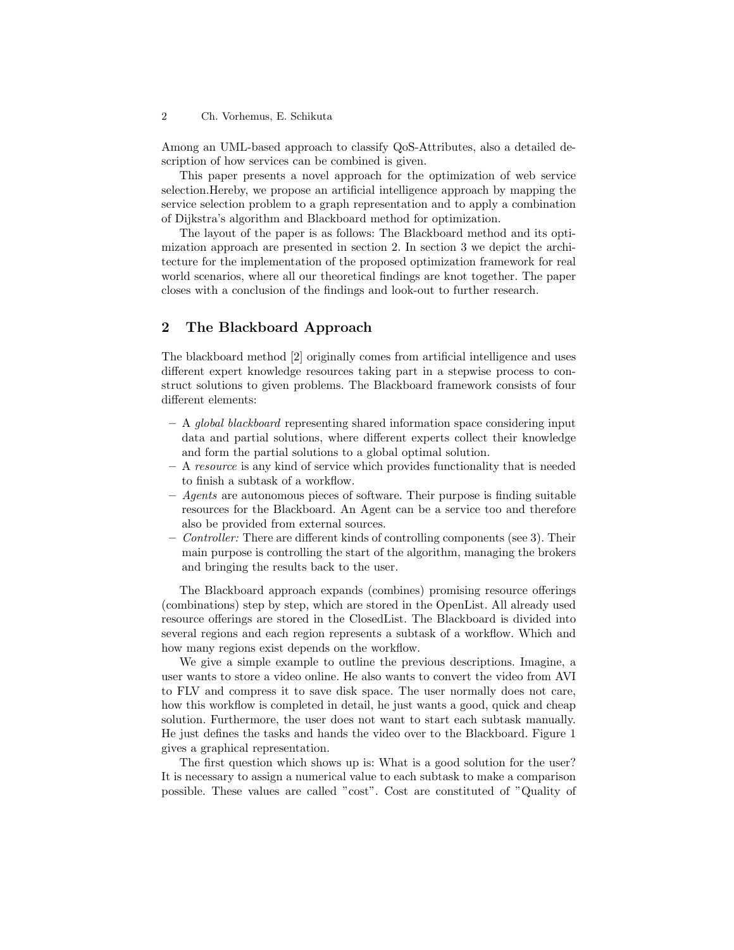#### 2 Ch. Vorhemus, E. Schikuta

Among an UML-based approach to classify QoS-Attributes, also a detailed description of how services can be combined is given.

This paper presents a novel approach for the optimization of web service selection.Hereby, we propose an artificial intelligence approach by mapping the service selection problem to a graph representation and to apply a combination of Dijkstra's algorithm and Blackboard method for optimization.

The layout of the paper is as follows: The Blackboard method and its optimization approach are presented in section 2. In section 3 we depict the architecture for the implementation of the proposed optimization framework for real world scenarios, where all our theoretical findings are knot together. The paper closes with a conclusion of the findings and look-out to further research.

# 2 The Blackboard Approach

The blackboard method [2] originally comes from artificial intelligence and uses different expert knowledge resources taking part in a stepwise process to construct solutions to given problems. The Blackboard framework consists of four different elements:

- A global blackboard representing shared information space considering input data and partial solutions, where different experts collect their knowledge and form the partial solutions to a global optimal solution.
- A resource is any kind of service which provides functionality that is needed to finish a subtask of a workflow.
- Agents are autonomous pieces of software. Their purpose is finding suitable resources for the Blackboard. An Agent can be a service too and therefore also be provided from external sources.
- $\sim$  Controller: There are different kinds of controlling components (see 3). Their main purpose is controlling the start of the algorithm, managing the brokers and bringing the results back to the user.

The Blackboard approach expands (combines) promising resource offerings (combinations) step by step, which are stored in the OpenList. All already used resource offerings are stored in the ClosedList. The Blackboard is divided into several regions and each region represents a subtask of a workflow. Which and how many regions exist depends on the workflow.

We give a simple example to outline the previous descriptions. Imagine, a user wants to store a video online. He also wants to convert the video from AVI to FLV and compress it to save disk space. The user normally does not care, how this workflow is completed in detail, he just wants a good, quick and cheap solution. Furthermore, the user does not want to start each subtask manually. He just defines the tasks and hands the video over to the Blackboard. Figure 1 gives a graphical representation.

The first question which shows up is: What is a good solution for the user? It is necessary to assign a numerical value to each subtask to make a comparison possible. These values are called "cost". Cost are constituted of "Quality of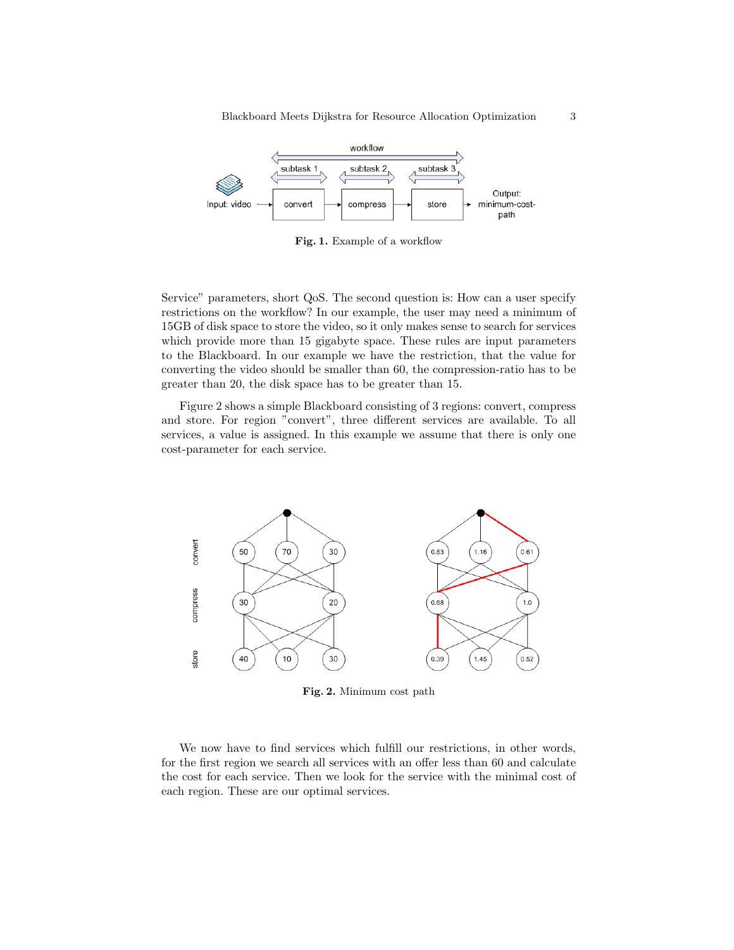

Fig. 1. Example of a workflow

Service" parameters, short QoS. The second question is: How can a user specify restrictions on the workflow? In our example, the user may need a minimum of 15GB of disk space to store the video, so it only makes sense to search for services which provide more than 15 gigabyte space. These rules are input parameters to the Blackboard. In our example we have the restriction, that the value for converting the video should be smaller than 60, the compression-ratio has to be greater than 20, the disk space has to be greater than 15.

Figure 2 shows a simple Blackboard consisting of 3 regions: convert, compress and store. For region "convert", three different services are available. To all services, a value is assigned. In this example we assume that there is only one cost-parameter for each service.



Fig. 2. Minimum cost path

We now have to find services which fulfill our restrictions, in other words, for the first region we search all services with an offer less than 60 and calculate the cost for each service. Then we look for the service with the minimal cost of each region. These are our optimal services.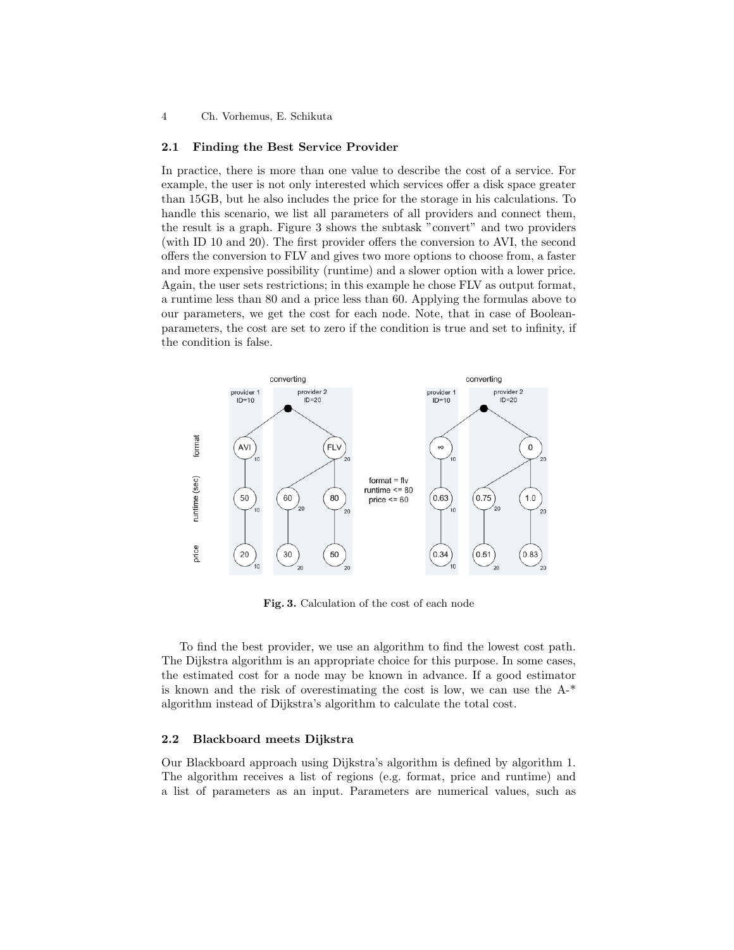4 Ch. Vorhemus, E. Schikuta

#### 2.1 Finding the Best Service Provider

In practice, there is more than one value to describe the cost of a service. For example, the user is not only interested which services offer a disk space greater than 15GB, but he also includes the price for the storage in his calculations. To handle this scenario, we list all parameters of all providers and connect them, the result is a graph. Figure 3 shows the subtask "convert" and two providers (with ID 10 and 20). The first provider offers the conversion to AVI, the second offers the conversion to FLV and gives two more options to choose from, a faster and more expensive possibility (runtime) and a slower option with a lower price. Again, the user sets restrictions; in this example he chose FLV as output format, a runtime less than 80 and a price less than 60. Applying the formulas above to our parameters, we get the cost for each node. Note, that in case of Booleanparameters, the cost are set to zero if the condition is true and set to infinity, if the condition is false.



Fig. 3. Calculation of the cost of each node

To find the best provider, we use an algorithm to find the lowest cost path. The Dijkstra algorithm is an appropriate choice for this purpose. In some cases, the estimated cost for a node may be known in advance. If a good estimator is known and the risk of overestimating the cost is low, we can use the A-\* algorithm instead of Dijkstra's algorithm to calculate the total cost.

### 2.2 Blackboard meets Dijkstra

Our Blackboard approach using Dijkstra's algorithm is defined by algorithm 1. The algorithm receives a list of regions (e.g. format, price and runtime) and a list of parameters as an input. Parameters are numerical values, such as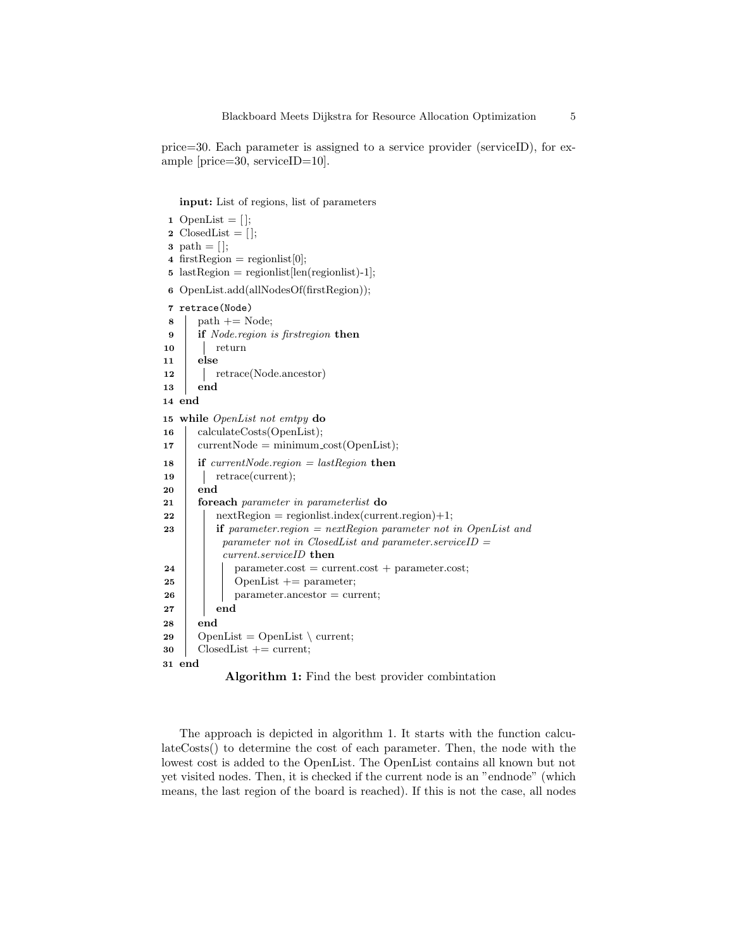price=30. Each parameter is assigned to a service provider (serviceID), for example [price=30, serviceID=10].

input: List of regions, list of parameters

```
1 OpenList = [];
 2 ClosedList = [];
 3 path = [];
 4 firstRegion = regionlist[0];
 5 lastRegion = regionlist[len(regionlist)-1];
 6 OpenList.add(allNodesOf(firstRegion));
 7 retrace(Node)
 \bullet \quad | \quad \text{path} \mid = \text{Node};9 if Node.region is firstregion then
10 \phantom{0} return
11 else
12 | retrace(Node.ancestor)
13 end
14 end
15 while OpenList not emtpy do
16 | calculateCosts(OpenList);
17 currentNode = minimum_cost(OpenList);
18 | if currentNode-region = lastRegion then
19 | retrace(current);
20 end
21 foreach parameter in parameterlist do
22 | nextRegion = regionlist.index(current.region)+1;
23 if parameter.region = nextRegion parameter not in OpenList and
           parameter not in ClosedList and parameter.serviceID =current.serviceID then
24 | | parameter.cost = current.cost + parameter.cost;
25 | | | OpenList += parameter;
26 | | parameter.ancestor = current;
27 | end
28 end
29 | OpenList = OpenList \ current;
30 ClosedList += current:
31 end
```
Algorithm 1: Find the best provider combintation

The approach is depicted in algorithm 1. It starts with the function calculateCosts() to determine the cost of each parameter. Then, the node with the lowest cost is added to the OpenList. The OpenList contains all known but not yet visited nodes. Then, it is checked if the current node is an "endnode" (which means, the last region of the board is reached). If this is not the case, all nodes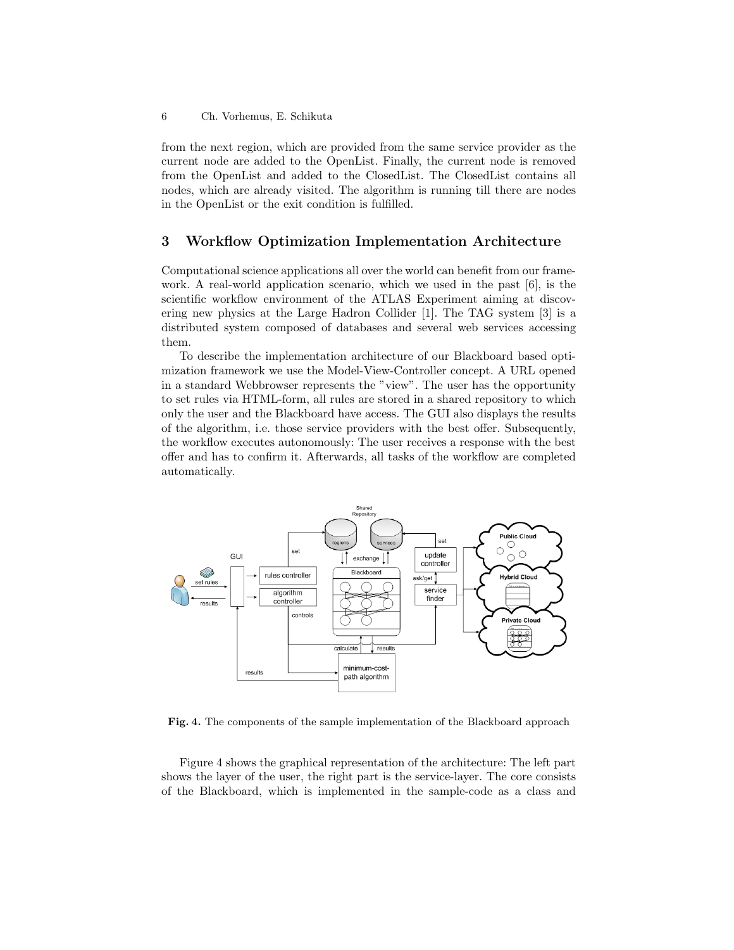from the next region, which are provided from the same service provider as the current node are added to the OpenList. Finally, the current node is removed from the OpenList and added to the ClosedList. The ClosedList contains all nodes, which are already visited. The algorithm is running till there are nodes in the OpenList or the exit condition is fulfilled.

# 3 Workflow Optimization Implementation Architecture

Computational science applications all over the world can benefit from our framework. A real-world application scenario, which we used in the past [6], is the scientific workflow environment of the ATLAS Experiment aiming at discovering new physics at the Large Hadron Collider [1]. The TAG system [3] is a distributed system composed of databases and several web services accessing them.

To describe the implementation architecture of our Blackboard based optimization framework we use the Model-View-Controller concept. A URL opened in a standard Webbrowser represents the "view". The user has the opportunity to set rules via HTML-form, all rules are stored in a shared repository to which only the user and the Blackboard have access. The GUI also displays the results of the algorithm, i.e. those service providers with the best offer. Subsequently, the workflow executes autonomously: The user receives a response with the best offer and has to confirm it. Afterwards, all tasks of the workflow are completed automatically.



Fig. 4. The components of the sample implementation of the Blackboard approach

Figure 4 shows the graphical representation of the architecture: The left part shows the layer of the user, the right part is the service-layer. The core consists of the Blackboard, which is implemented in the sample-code as a class and